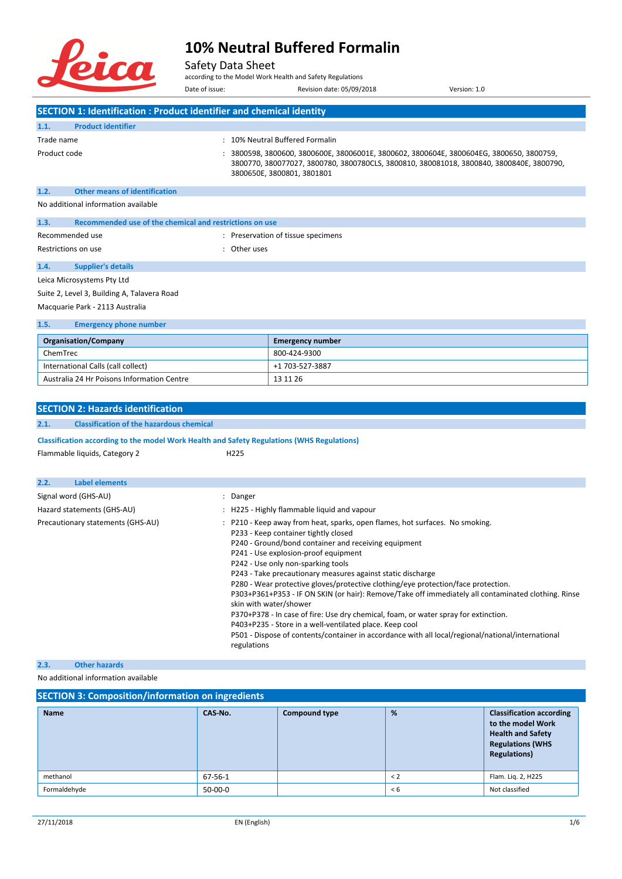

#### Safety Data Sheet

according to the Model Work Health and Safety Regulations Date of issue: Revision date: 05/09/2018 Version: 1.0

|                     | SECTION 1: Identification : Product identifier and chemical identity |                      |                                                                                                                                                                                                                  |  |  |
|---------------------|----------------------------------------------------------------------|----------------------|------------------------------------------------------------------------------------------------------------------------------------------------------------------------------------------------------------------|--|--|
| 1.1.                | <b>Product identifier</b>                                            |                      |                                                                                                                                                                                                                  |  |  |
| Trade name          |                                                                      |                      | : 10% Neutral Buffered Formalin                                                                                                                                                                                  |  |  |
| Product code        |                                                                      | $\ddot{\phantom{a}}$ | 3800598, 3800600, 3800600E, 38006001E, 3800602, 3800604E, 3800604EG, 3800650, 3800759,<br>3800770, 380077027, 3800780, 3800780CLS, 3800810, 380081018, 3800840, 3800840E, 3800790,<br>3800650E, 3800801, 3801801 |  |  |
| 1.2.                | <b>Other means of identification</b>                                 |                      |                                                                                                                                                                                                                  |  |  |
|                     | No additional information available                                  |                      |                                                                                                                                                                                                                  |  |  |
| 1.3.                | Recommended use of the chemical and restrictions on use              |                      |                                                                                                                                                                                                                  |  |  |
|                     | Recommended use                                                      |                      | : Preservation of tissue specimens                                                                                                                                                                               |  |  |
| Restrictions on use |                                                                      | $\ddot{\cdot}$       | Other uses                                                                                                                                                                                                       |  |  |
| 1.4.                | <b>Supplier's details</b>                                            |                      |                                                                                                                                                                                                                  |  |  |
|                     | Leica Microsystems Pty Ltd                                           |                      |                                                                                                                                                                                                                  |  |  |
|                     | Suite 2, Level 3, Building A, Talavera Road                          |                      |                                                                                                                                                                                                                  |  |  |
|                     | Macquarie Park - 2113 Australia                                      |                      |                                                                                                                                                                                                                  |  |  |

| 1.5.<br><b>Emergency phone number</b>      |                  |  |  |  |  |  |
|--------------------------------------------|------------------|--|--|--|--|--|
| <b>Organisation/Company</b>                | Emergency number |  |  |  |  |  |
| ChemTrec                                   | 800-424-9300     |  |  |  |  |  |
| International Calls (call collect)         | +1 703-527-3887  |  |  |  |  |  |
| Australia 24 Hr Poisons Information Centre | 13 11 26         |  |  |  |  |  |

#### **SECTION 2: Hazards identification**

#### **2.1. Classification of the hazardous chemical**

**Classification according to the model Work Health and Safety Regulations (WHS Regulations)**

Flammable liquids, Category 2

|  |  | HZ. |  |
|--|--|-----|--|
|  |  |     |  |

| Label elements<br>2.2.            |                                                                                                                                                                                                                                                                                                                                                                                                                                                                                                                                                                                                                                                                                                                                                                                                                       |
|-----------------------------------|-----------------------------------------------------------------------------------------------------------------------------------------------------------------------------------------------------------------------------------------------------------------------------------------------------------------------------------------------------------------------------------------------------------------------------------------------------------------------------------------------------------------------------------------------------------------------------------------------------------------------------------------------------------------------------------------------------------------------------------------------------------------------------------------------------------------------|
| Signal word (GHS-AU)              | : Danger                                                                                                                                                                                                                                                                                                                                                                                                                                                                                                                                                                                                                                                                                                                                                                                                              |
| Hazard statements (GHS-AU)        | : H225 - Highly flammable liquid and vapour                                                                                                                                                                                                                                                                                                                                                                                                                                                                                                                                                                                                                                                                                                                                                                           |
| Precautionary statements (GHS-AU) | : P210 - Keep away from heat, sparks, open flames, hot surfaces. No smoking.<br>P233 - Keep container tightly closed<br>P240 - Ground/bond container and receiving equipment<br>P241 - Use explosion-proof equipment<br>P242 - Use only non-sparking tools<br>P243 - Take precautionary measures against static discharge<br>P280 - Wear protective gloves/protective clothing/eye protection/face protection.<br>P303+P361+P353 - IF ON SKIN (or hair): Remove/Take off immediately all contaminated clothing. Rinse<br>skin with water/shower<br>P370+P378 - In case of fire: Use dry chemical, foam, or water spray for extinction.<br>P403+P235 - Store in a well-ventilated place. Keep cool<br>P501 - Dispose of contents/container in accordance with all local/regional/national/international<br>regulations |

#### **2.3. Other hazards**

No additional information available

| <b>SECTION 3: Composition/information on ingredients</b> |           |                      |         |                                                                                                                                    |  |  |  |
|----------------------------------------------------------|-----------|----------------------|---------|------------------------------------------------------------------------------------------------------------------------------------|--|--|--|
| <b>Name</b>                                              | CAS-No.   | <b>Compound type</b> | %       | <b>Classification according</b><br>to the model Work<br><b>Health and Safety</b><br><b>Regulations (WHS</b><br><b>Regulations)</b> |  |  |  |
| methanol                                                 | 67-56-1   |                      | $\lt$ 2 | Flam. Lig. 2, H225                                                                                                                 |  |  |  |
| Formaldehyde                                             | $50-00-0$ |                      | < 6     | Not classified                                                                                                                     |  |  |  |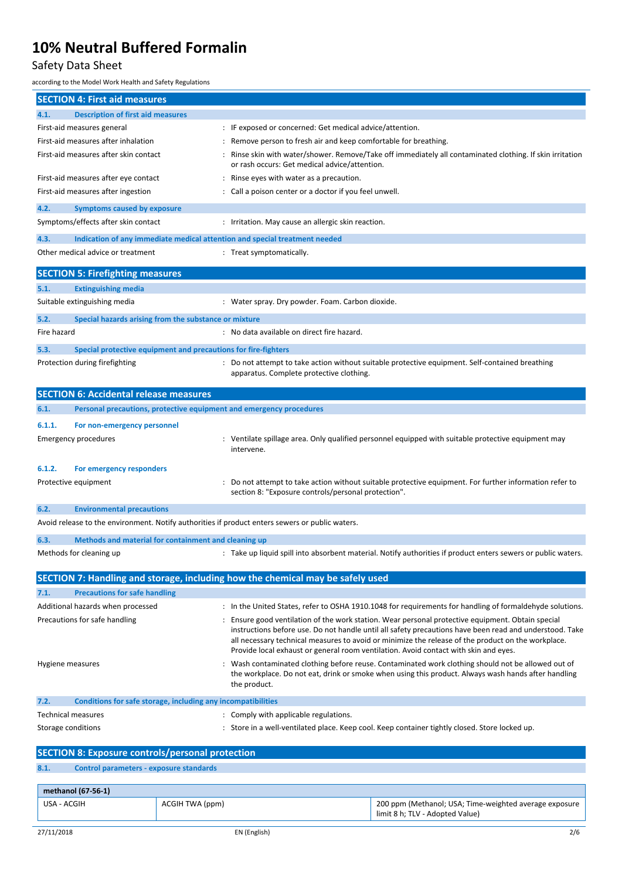## Safety Data Sheet

according to the Model Work Health and Safety Regulations

|                    | <b>SECTION 4: First aid measures</b>                           |                 |                                                                                                 |                                                                                                                                                                                                            |
|--------------------|----------------------------------------------------------------|-----------------|-------------------------------------------------------------------------------------------------|------------------------------------------------------------------------------------------------------------------------------------------------------------------------------------------------------------|
| 4.1.               | <b>Description of first aid measures</b>                       |                 |                                                                                                 |                                                                                                                                                                                                            |
|                    | First-aid measures general                                     |                 | IF exposed or concerned: Get medical advice/attention.                                          |                                                                                                                                                                                                            |
|                    | First-aid measures after inhalation                            |                 | Remove person to fresh air and keep comfortable for breathing.                                  |                                                                                                                                                                                                            |
|                    | First-aid measures after skin contact                          |                 | or rash occurs: Get medical advice/attention.                                                   | Rinse skin with water/shower. Remove/Take off immediately all contaminated clothing. If skin irritation                                                                                                    |
|                    | First-aid measures after eye contact                           |                 | Rinse eyes with water as a precaution.                                                          |                                                                                                                                                                                                            |
|                    | First-aid measures after ingestion                             |                 | : Call a poison center or a doctor if you feel unwell.                                          |                                                                                                                                                                                                            |
| 4.2.               | <b>Symptoms caused by exposure</b>                             |                 |                                                                                                 |                                                                                                                                                                                                            |
|                    | Symptoms/effects after skin contact                            |                 | : Irritation. May cause an allergic skin reaction.                                              |                                                                                                                                                                                                            |
| 4.3.               |                                                                |                 | Indication of any immediate medical attention and special treatment needed                      |                                                                                                                                                                                                            |
|                    | Other medical advice or treatment                              |                 | : Treat symptomatically.                                                                        |                                                                                                                                                                                                            |
|                    | <b>SECTION 5: Firefighting measures</b>                        |                 |                                                                                                 |                                                                                                                                                                                                            |
| 5.1.               | <b>Extinguishing media</b>                                     |                 |                                                                                                 |                                                                                                                                                                                                            |
|                    | Suitable extinguishing media                                   |                 | : Water spray. Dry powder. Foam. Carbon dioxide.                                                |                                                                                                                                                                                                            |
| 5.2.               | Special hazards arising from the substance or mixture          |                 |                                                                                                 |                                                                                                                                                                                                            |
| Fire hazard        |                                                                |                 | : No data available on direct fire hazard.                                                      |                                                                                                                                                                                                            |
| 5.3.               | Special protective equipment and precautions for fire-fighters |                 |                                                                                                 |                                                                                                                                                                                                            |
|                    | Protection during firefighting                                 |                 | apparatus. Complete protective clothing.                                                        | : Do not attempt to take action without suitable protective equipment. Self-contained breathing                                                                                                            |
|                    | <b>SECTION 6: Accidental release measures</b>                  |                 |                                                                                                 |                                                                                                                                                                                                            |
| 6.1.               |                                                                |                 | Personal precautions, protective equipment and emergency procedures                             |                                                                                                                                                                                                            |
| 6.1.1.             | For non-emergency personnel                                    |                 |                                                                                                 |                                                                                                                                                                                                            |
|                    | <b>Emergency procedures</b>                                    |                 |                                                                                                 | : Ventilate spillage area. Only qualified personnel equipped with suitable protective equipment may                                                                                                        |
|                    |                                                                |                 | intervene.                                                                                      |                                                                                                                                                                                                            |
| 6.1.2.             | For emergency responders                                       |                 |                                                                                                 |                                                                                                                                                                                                            |
|                    | Protective equipment                                           |                 |                                                                                                 | Do not attempt to take action without suitable protective equipment. For further information refer to                                                                                                      |
|                    |                                                                |                 | section 8: "Exposure controls/personal protection".                                             |                                                                                                                                                                                                            |
| 6.2.               | <b>Environmental precautions</b>                               |                 |                                                                                                 |                                                                                                                                                                                                            |
|                    |                                                                |                 | Avoid release to the environment. Notify authorities if product enters sewers or public waters. |                                                                                                                                                                                                            |
| 6.3.               | Methods and material for containment and cleaning up           |                 |                                                                                                 |                                                                                                                                                                                                            |
|                    | Methods for cleaning up                                        |                 |                                                                                                 | : Take up liquid spill into absorbent material. Notify authorities if product enters sewers or public waters.                                                                                              |
|                    |                                                                |                 |                                                                                                 |                                                                                                                                                                                                            |
|                    |                                                                |                 | SECTION 7: Handling and storage, including how the chemical may be safely used                  |                                                                                                                                                                                                            |
| 7.1.               | <b>Precautions for safe handling</b>                           |                 |                                                                                                 |                                                                                                                                                                                                            |
|                    | Additional hazards when processed                              |                 |                                                                                                 | : In the United States, refer to OSHA 1910.1048 for requirements for handling of formaldehyde solutions.                                                                                                   |
|                    | Precautions for safe handling                                  |                 |                                                                                                 | Ensure good ventilation of the work station. Wear personal protective equipment. Obtain special<br>instructions before use. Do not handle until all safety precautions have been read and understood. Take |
|                    |                                                                |                 |                                                                                                 | all necessary technical measures to avoid or minimize the release of the product on the workplace.<br>Provide local exhaust or general room ventilation. Avoid contact with skin and eyes.                 |
| Hygiene measures   |                                                                |                 | the product.                                                                                    | : Wash contaminated clothing before reuse. Contaminated work clothing should not be allowed out of<br>the workplace. Do not eat, drink or smoke when using this product. Always wash hands after handling  |
| 7.2.               | Conditions for safe storage, including any incompatibilities   |                 |                                                                                                 |                                                                                                                                                                                                            |
|                    | <b>Technical measures</b>                                      |                 | : Comply with applicable regulations.                                                           |                                                                                                                                                                                                            |
| Storage conditions |                                                                |                 |                                                                                                 | : Store in a well-ventilated place. Keep cool. Keep container tightly closed. Store locked up.                                                                                                             |
|                    | <b>SECTION 8: Exposure controls/personal protection</b>        |                 |                                                                                                 |                                                                                                                                                                                                            |
| 8.1.               | <b>Control parameters - exposure standards</b>                 |                 |                                                                                                 |                                                                                                                                                                                                            |
|                    |                                                                |                 |                                                                                                 |                                                                                                                                                                                                            |
| USA - ACGIH        | methanol (67-56-1)                                             | ACGIH TWA (ppm) |                                                                                                 | 200 ppm (Methanol; USA; Time-weighted average exposure                                                                                                                                                     |
|                    |                                                                |                 |                                                                                                 |                                                                                                                                                                                                            |

limit 8 h; TLV - Adopted Value)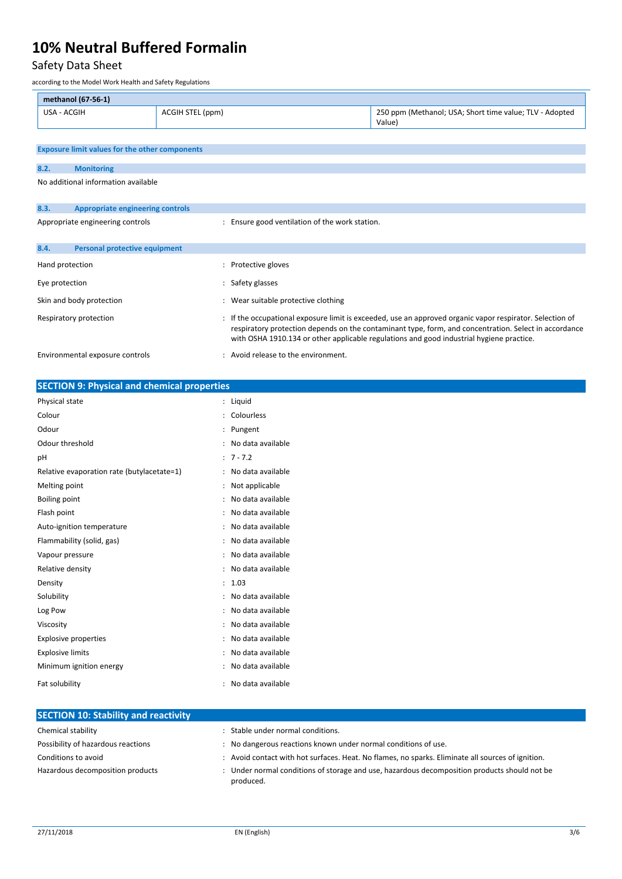### Safety Data Sheet

according to the Model Work Health and Safety Regulations

| methanol (67-56-1)                                    |  |                                                                   |  |  |  |  |  |
|-------------------------------------------------------|--|-------------------------------------------------------------------|--|--|--|--|--|
| USA - ACGIH<br>ACGIH STEL (ppm)                       |  | 250 ppm (Methanol; USA; Short time value; TLV - Adopted<br>Value) |  |  |  |  |  |
|                                                       |  |                                                                   |  |  |  |  |  |
| <b>Exposure limit values for the other components</b> |  |                                                                   |  |  |  |  |  |

| 8.2.                            | <b>Monitoring</b>                       |                                                                                                                                                                                                                                                                                                             |
|---------------------------------|-----------------------------------------|-------------------------------------------------------------------------------------------------------------------------------------------------------------------------------------------------------------------------------------------------------------------------------------------------------------|
|                                 | No additional information available     |                                                                                                                                                                                                                                                                                                             |
|                                 |                                         |                                                                                                                                                                                                                                                                                                             |
| 8.3.                            | <b>Appropriate engineering controls</b> |                                                                                                                                                                                                                                                                                                             |
|                                 | Appropriate engineering controls        | Ensure good ventilation of the work station.                                                                                                                                                                                                                                                                |
|                                 |                                         |                                                                                                                                                                                                                                                                                                             |
| 8.4.                            | Personal protective equipment           |                                                                                                                                                                                                                                                                                                             |
| Hand protection                 |                                         | Protective gloves                                                                                                                                                                                                                                                                                           |
| Eye protection                  |                                         | Safety glasses                                                                                                                                                                                                                                                                                              |
| Skin and body protection        |                                         | Wear suitable protective clothing                                                                                                                                                                                                                                                                           |
| Respiratory protection          |                                         | If the occupational exposure limit is exceeded, use an approved organic vapor respirator. Selection of<br>respiratory protection depends on the contaminant type, form, and concentration. Select in accordance<br>with OSHA 1910.134 or other applicable regulations and good industrial hygiene practice. |
| Environmental exposure controls |                                         | : Avoid release to the environment.                                                                                                                                                                                                                                                                         |

| <b>SECTION 9: Physical and chemical properties</b> |                                           |  |  |  |
|----------------------------------------------------|-------------------------------------------|--|--|--|
| Physical state                                     | : Liquid                                  |  |  |  |
| Colour                                             | : Colourless                              |  |  |  |
| Odour                                              | : Pungent                                 |  |  |  |
| Odour threshold                                    | : No data available                       |  |  |  |
| pH                                                 | $: 7 - 7.2$                               |  |  |  |
| Relative evaporation rate (butylacetate=1)         | : No data available                       |  |  |  |
| Melting point                                      | : Not applicable                          |  |  |  |
| <b>Boiling point</b>                               | No data available<br>$\cdot$              |  |  |  |
| Flash point                                        | No data available<br>$\ddot{\phantom{a}}$ |  |  |  |
| Auto-ignition temperature                          | No data available<br>÷                    |  |  |  |
| Flammability (solid, gas)                          | : No data available                       |  |  |  |
| Vapour pressure                                    | No data available                         |  |  |  |
| Relative density                                   | : No data available                       |  |  |  |
| Density                                            | : 1.03                                    |  |  |  |
| Solubility                                         | No data available<br>$\ddot{\phantom{a}}$ |  |  |  |
| Log Pow                                            | No data available<br>$\ddot{\phantom{a}}$ |  |  |  |
| Viscosity                                          | No data available<br>$\ddot{\phantom{a}}$ |  |  |  |
| <b>Explosive properties</b>                        | : No data available                       |  |  |  |
| <b>Explosive limits</b>                            | No data available<br>$\ddot{\phantom{a}}$ |  |  |  |
| Minimum ignition energy                            | No data available<br>÷                    |  |  |  |
| Fat solubility                                     | : No data available                       |  |  |  |
|                                                    |                                           |  |  |  |
| <b>SECTION 10: Stability and reactivity</b>        |                                           |  |  |  |

| Chemical stability                 | Stable under normal conditions.                                                                           |
|------------------------------------|-----------------------------------------------------------------------------------------------------------|
| Possibility of hazardous reactions | : No dangerous reactions known under normal conditions of use.                                            |
| Conditions to avoid                | : Avoid contact with hot surfaces. Heat. No flames, no sparks. Eliminate all sources of ignition.         |
| Hazardous decomposition products   | : Under normal conditions of storage and use, hazardous decomposition products should not be<br>produced. |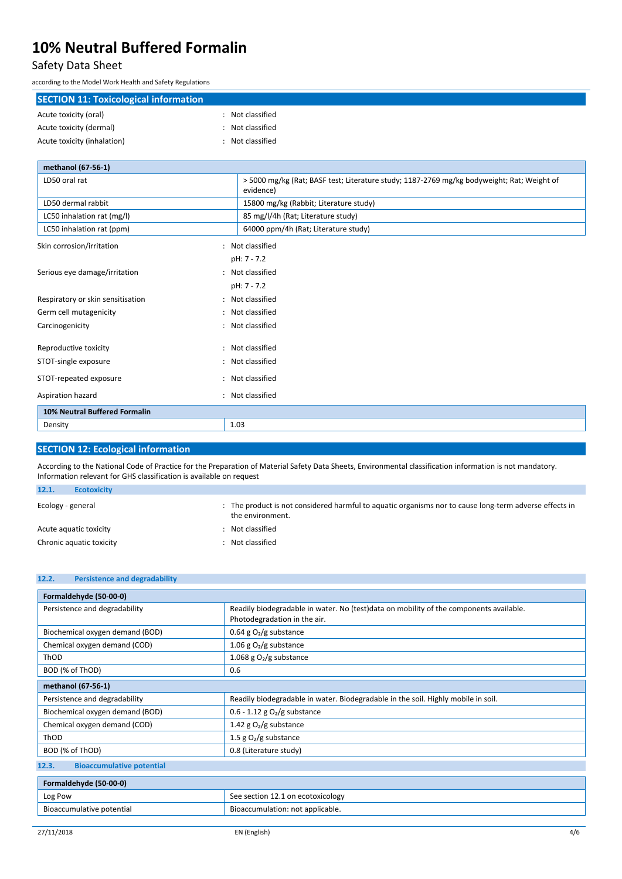#### Safety Data Sheet

according to the Model Work Health and Safety Regulations

| <b>SECTION 11: Toxicological information</b> |                |  |  |
|----------------------------------------------|----------------|--|--|
| Acute toxicity (oral)                        | Not classified |  |  |
| Acute toxicity (dermal)                      | Not classified |  |  |
| Acute toxicity (inhalation)                  | Not classified |  |  |
| mothanol $(67, 56, 1)$                       |                |  |  |

| Thethanol (07-30-1)               |                          |                                                                                                         |
|-----------------------------------|--------------------------|---------------------------------------------------------------------------------------------------------|
| LD50 oral rat                     |                          | > 5000 mg/kg (Rat; BASF test; Literature study; 1187-2769 mg/kg bodyweight; Rat; Weight of<br>evidence) |
| LD50 dermal rabbit                |                          | 15800 mg/kg (Rabbit; Literature study)                                                                  |
| LC50 inhalation rat (mg/l)        |                          | 85 mg/l/4h (Rat; Literature study)                                                                      |
| LC50 inhalation rat (ppm)         |                          | 64000 ppm/4h (Rat; Literature study)                                                                    |
| Skin corrosion/irritation         | $\bullet$                | Not classified                                                                                          |
|                                   |                          | pH: 7 - 7.2                                                                                             |
| Serious eye damage/irritation     |                          | : Not classified                                                                                        |
|                                   |                          | pH: 7 - 7.2                                                                                             |
| Respiratory or skin sensitisation | $\overline{\phantom{a}}$ | Not classified                                                                                          |
| Germ cell mutagenicity            | $\ddot{\phantom{a}}$     | Not classified                                                                                          |
| Carcinogenicity                   |                          | Not classified                                                                                          |
| Reproductive toxicity             | ٠.                       | Not classified                                                                                          |
| STOT-single exposure              |                          | Not classified                                                                                          |
| STOT-repeated exposure            | $\ddot{\cdot}$           | Not classified                                                                                          |
| Aspiration hazard                 | $\bullet$                | Not classified                                                                                          |
| 10% Neutral Buffered Formalin     |                          |                                                                                                         |
| Density                           |                          | 1.03                                                                                                    |

#### **SECTION 12: Ecological information**

According to the National Code of Practice for the Preparation of Material Safety Data Sheets, Environmental classification information is not mandatory. Information relevant for GHS classification is available on request

| 12.1.             | <b>Ecotoxicity</b>       |                                                                                                                            |
|-------------------|--------------------------|----------------------------------------------------------------------------------------------------------------------------|
| Ecology - general |                          | : The product is not considered harmful to aquatic organisms nor to cause long-term adverse effects in<br>the environment. |
|                   | Acute aguatic toxicity   | : Not classified                                                                                                           |
|                   | Chronic aquatic toxicity | Not classified                                                                                                             |

### **12.2. Persistence and degradability**

| Formaldehyde (50-00-0)                    |                                                                                                                        |  |  |  |  |  |
|-------------------------------------------|------------------------------------------------------------------------------------------------------------------------|--|--|--|--|--|
| Persistence and degradability             | Readily biodegradable in water. No (test)data on mobility of the components available.<br>Photodegradation in the air. |  |  |  |  |  |
| Biochemical oxygen demand (BOD)           | 0.64 g $O_2/g$ substance                                                                                               |  |  |  |  |  |
| Chemical oxygen demand (COD)              | 1.06 g $O_2/g$ substance                                                                                               |  |  |  |  |  |
| ThOD                                      | 1.068 g $O2/g$ substance                                                                                               |  |  |  |  |  |
| BOD (% of ThOD)                           | 0.6                                                                                                                    |  |  |  |  |  |
| methanol (67-56-1)                        |                                                                                                                        |  |  |  |  |  |
| Persistence and degradability             | Readily biodegradable in water. Biodegradable in the soil. Highly mobile in soil.                                      |  |  |  |  |  |
| Biochemical oxygen demand (BOD)           | $0.6 - 1.12$ g O <sub>2</sub> /g substance                                                                             |  |  |  |  |  |
| Chemical oxygen demand (COD)              | 1.42 g $O_2/g$ substance                                                                                               |  |  |  |  |  |
| ThOD                                      | 1.5 g $O_2/g$ substance                                                                                                |  |  |  |  |  |
| BOD (% of ThOD)                           | 0.8 (Literature study)                                                                                                 |  |  |  |  |  |
| <b>Bioaccumulative potential</b><br>12.3. |                                                                                                                        |  |  |  |  |  |
| Formaldehyde (50-00-0)                    |                                                                                                                        |  |  |  |  |  |
| Log Pow                                   | See section 12.1 on ecotoxicology                                                                                      |  |  |  |  |  |
| Bioaccumulative potential                 | Bioaccumulation: not applicable.                                                                                       |  |  |  |  |  |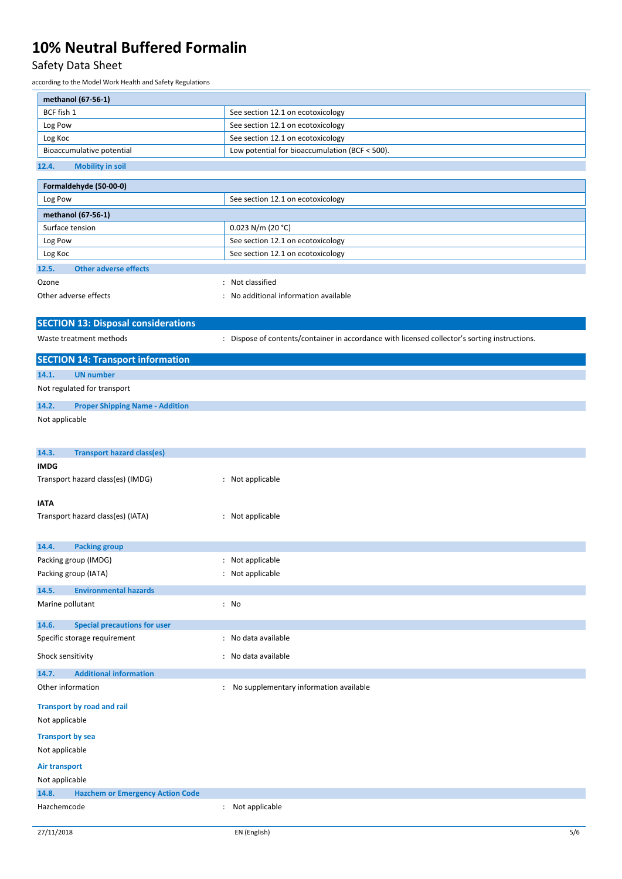### Safety Data Sheet

according to the Model Work Health and Safety Regulations

| methanol (67-56-1)                               |                                                                                               |  |  |  |  |  |
|--------------------------------------------------|-----------------------------------------------------------------------------------------------|--|--|--|--|--|
| BCF fish 1                                       | See section 12.1 on ecotoxicology                                                             |  |  |  |  |  |
| Log Pow                                          | See section 12.1 on ecotoxicology                                                             |  |  |  |  |  |
| Log Koc                                          | See section 12.1 on ecotoxicology                                                             |  |  |  |  |  |
| Bioaccumulative potential                        | Low potential for bioaccumulation (BCF < 500).                                                |  |  |  |  |  |
| <b>Mobility in soil</b><br>12.4.                 |                                                                                               |  |  |  |  |  |
| Formaldehyde (50-00-0)                           |                                                                                               |  |  |  |  |  |
| Log Pow                                          | See section 12.1 on ecotoxicology                                                             |  |  |  |  |  |
| methanol (67-56-1)                               |                                                                                               |  |  |  |  |  |
| Surface tension                                  | $0.023$ N/m (20 °C)                                                                           |  |  |  |  |  |
| Log Pow                                          | See section 12.1 on ecotoxicology                                                             |  |  |  |  |  |
| Log Koc                                          | See section 12.1 on ecotoxicology                                                             |  |  |  |  |  |
| <b>Other adverse effects</b><br>12.5.            |                                                                                               |  |  |  |  |  |
| Ozone                                            | : Not classified                                                                              |  |  |  |  |  |
| Other adverse effects                            | No additional information available                                                           |  |  |  |  |  |
|                                                  |                                                                                               |  |  |  |  |  |
| <b>SECTION 13: Disposal considerations</b>       |                                                                                               |  |  |  |  |  |
| Waste treatment methods                          | : Dispose of contents/container in accordance with licensed collector's sorting instructions. |  |  |  |  |  |
| <b>SECTION 14: Transport information</b>         |                                                                                               |  |  |  |  |  |
| <b>UN number</b><br>14.1.                        |                                                                                               |  |  |  |  |  |
| Not regulated for transport                      |                                                                                               |  |  |  |  |  |
| 14.2.<br><b>Proper Shipping Name - Addition</b>  |                                                                                               |  |  |  |  |  |
| Not applicable                                   |                                                                                               |  |  |  |  |  |
|                                                  |                                                                                               |  |  |  |  |  |
|                                                  |                                                                                               |  |  |  |  |  |
| 14.3.<br><b>Transport hazard class(es)</b>       |                                                                                               |  |  |  |  |  |
| <b>IMDG</b><br>Transport hazard class(es) (IMDG) | : Not applicable                                                                              |  |  |  |  |  |
|                                                  |                                                                                               |  |  |  |  |  |
| <b>IATA</b>                                      |                                                                                               |  |  |  |  |  |
| Transport hazard class(es) (IATA)                | : Not applicable                                                                              |  |  |  |  |  |
|                                                  |                                                                                               |  |  |  |  |  |
| 14.4.<br><b>Packing group</b>                    |                                                                                               |  |  |  |  |  |
| Packing group (IMDG)                             | Not applicable                                                                                |  |  |  |  |  |
| Packing group (IATA)                             | : Not applicable                                                                              |  |  |  |  |  |
| 14.5.<br><b>Environmental hazards</b>            |                                                                                               |  |  |  |  |  |
| Marine pollutant                                 | : No                                                                                          |  |  |  |  |  |
|                                                  |                                                                                               |  |  |  |  |  |
| <b>Special precautions for user</b><br>14.6.     |                                                                                               |  |  |  |  |  |
| Specific storage requirement                     | No data available                                                                             |  |  |  |  |  |
| Shock sensitivity                                | : No data available                                                                           |  |  |  |  |  |
| <b>Additional information</b><br>14.7.           |                                                                                               |  |  |  |  |  |
| Other information<br>$\ddot{\cdot}$              | No supplementary information available                                                        |  |  |  |  |  |
| <b>Transport by road and rail</b>                |                                                                                               |  |  |  |  |  |
| Not applicable                                   |                                                                                               |  |  |  |  |  |
| <b>Transport by sea</b>                          |                                                                                               |  |  |  |  |  |
| Not applicable                                   |                                                                                               |  |  |  |  |  |
| Air transport                                    |                                                                                               |  |  |  |  |  |
| Not applicable                                   |                                                                                               |  |  |  |  |  |
| 14.8.<br><b>Hazchem or Emergency Action Code</b> |                                                                                               |  |  |  |  |  |
| Hazchemcode<br>$\ddot{\cdot}$                    | Not applicable                                                                                |  |  |  |  |  |
|                                                  |                                                                                               |  |  |  |  |  |